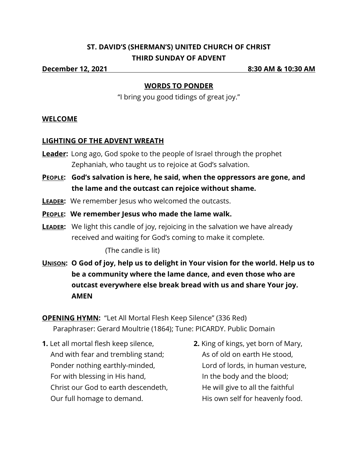# **ST. DAVID'S (SHERMAN'S) UNITED CHURCH OF CHRIST THIRD SUNDAY OF ADVENT**

**December 12, 2021 8:30 AM & 10:30 AM**

## **WORDS TO PONDER**

"I bring you good tidings of great joy."

## **WELCOME**

## **LIGHTING OF THE ADVENT WREATH**

- **Leader:** Long ago, God spoke to the people of Israel through the prophet Zephaniah, who taught us to rejoice at God's salvation.
- **PEOPLE: God's salvation is here, he said, when the oppressors are gone, and the lame and the outcast can rejoice without shame.**
- **LEADER:** We remember lesus who welcomed the outcasts.
- **PEOPLE: We remember Jesus who made the lame walk.**
- **LEADER:** We light this candle of joy, rejoicing in the salvation we have already received and waiting for God's coming to make it complete.

(The candle is lit)

**UNISON: O God of joy, help us to delight in Your vision for the world. Help us to be a community where the lame dance, and even those who are outcast everywhere else break bread with us and share Your joy. AMEN**

**OPENING HYMN:** "Let All Mortal Flesh Keep Silence" (336 Red) Paraphraser: Gerard Moultrie (1864); Tune: PICARDY. Public Domain

- **1.** Let all mortal flesh keep silence, And with fear and trembling stand; Ponder nothing earthly-minded, For with blessing in His hand, Christ our God to earth descendeth, Our full homage to demand.
- **2.** King of kings, yet born of Mary, As of old on earth He stood, Lord of lords, in human vesture, In the body and the blood; He will give to all the faithful His own self for heavenly food.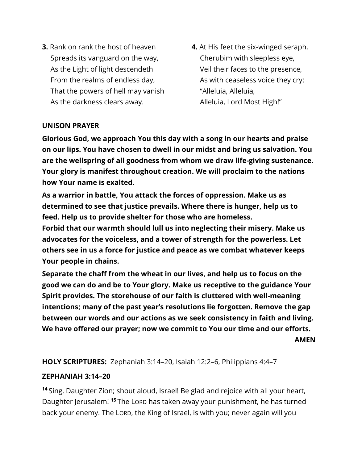- **3.** Rank on rank the host of heaven Spreads its vanguard on the way, As the Light of light descendeth From the realms of endless day, That the powers of hell may vanish As the darkness clears away.
- **4.** At His feet the six-winged seraph, Cherubim with sleepless eye, Veil their faces to the presence, As with ceaseless voice they cry: "Alleluia, Alleluia, Alleluia, Lord Most High!"

## **UNISON PRAYER**

**Glorious God, we approach You this day with a song in our hearts and praise on our lips. You have chosen to dwell in our midst and bring us salvation. You are the wellspring of all goodness from whom we draw life-giving sustenance. Your glory is manifest throughout creation. We will proclaim to the nations how Your name is exalted.**

**As a warrior in battle, You attack the forces of oppression. Make us as determined to see that justice prevails. Where there is hunger, help us to feed. Help us to provide shelter for those who are homeless.**

**Forbid that our warmth should lull us into neglecting their misery. Make us advocates for the voiceless, and a tower of strength for the powerless. Let others see in us a force for justice and peace as we combat whatever keeps Your people in chains.**

**Separate the chaff from the wheat in our lives, and help us to focus on the good we can do and be to Your glory. Make us receptive to the guidance Your Spirit provides. The storehouse of our faith is cluttered with well-meaning intentions; many of the past year's resolutions lie forgotten. Remove the gap between our words and our actions as we seek consistency in faith and living. We have offered our prayer; now we commit to You our time and our efforts.** 

**AMEN**

**HOLY SCRIPTURES:** Zephaniah 3:14–20, Isaiah 12:2–6, Philippians 4:4–7

## **ZEPHANIAH 3:14–20**

**<sup>14</sup>** Sing, Daughter Zion; shout aloud, Israel! Be glad and rejoice with all your heart, Daughter Jerusalem! **<sup>15</sup>** The LORD has taken away your punishment, he has turned back your enemy. The LORD, the King of Israel, is with you; never again will you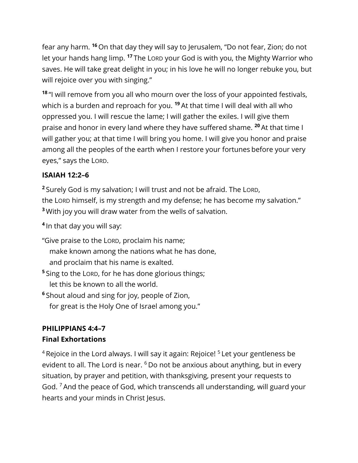fear any harm. **<sup>16</sup>** On that day they will say to Jerusalem, "Do not fear, Zion; do not let your hands hang limp. **<sup>17</sup>** The LORD your God is with you, the Mighty Warrior who saves. He will take great delight in you; in his love he will no longer rebuke you, but will rejoice over you with singing."

**<sup>18</sup>** "I will remove from you all who mourn over the loss of your appointed festivals, which is a burden and reproach for you. **<sup>19</sup>** At that time I will deal with all who oppressed you. I will rescue the lame; I will gather the exiles. I will give them praise and honor in every land where they have suffered shame. **<sup>20</sup>** At that time I will gather you; at that time I will bring you home. I will give you honor and praise among all the peoples of the earth when I restore your fortunes before your very eyes," says the LORD.

## **ISAIAH 12:2–6**

**<sup>2</sup>** Surely God is my salvation; I will trust and not be afraid. The LORD, the LORD himself, is my strength and my defense; he has become my salvation." **<sup>3</sup>** With joy you will draw water from the wells of salvation.

**4** In that day you will say:

"Give praise to the LORD, proclaim his name; make known among the nations what he has done, and proclaim that his name is exalted.

**<sup>5</sup>** Sing to the LORD, for he has done glorious things; let this be known to all the world.

**<sup>6</sup>** Shout aloud and sing for joy, people of Zion, for great is the Holy One of Israel among you."

# **PHILIPPIANS 4:4–7**

## **Final Exhortations**

<sup>4</sup> Rejoice in the Lord always. I will say it again: Rejoice!<sup>5</sup> Let your gentleness be evident to all. The Lord is near. <sup>6</sup> Do not be anxious about anything, but in every situation, by prayer and petition, with thanksgiving, present your requests to God. <sup>7</sup> And the peace of God, which transcends all understanding, will guard your hearts and your minds in Christ Jesus.